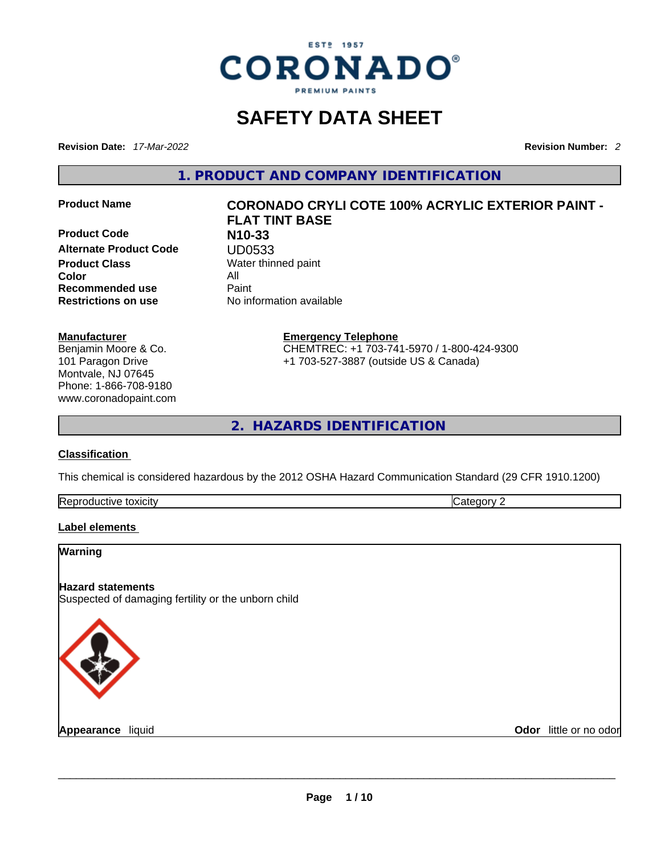

## **SAFETY DATA SHEET**

**Revision Date:** *17-Mar-2022* **Revision Number:** *2*

**1. PRODUCT AND COMPANY IDENTIFICATION** 

**Product Code N10-33 Alternate Product Code <br>Product Class Water thin Color** All **Recommended use** Paint **Restrictions on use** No information available

#### **Manufacturer**

Benjamin Moore & Co. 101 Paragon Drive Montvale, NJ 07645 Phone: 1-866-708-9180 www.coronadopaint.com

## **Product Name CORONADO CRYLI COTE 100% ACRYLIC EXTERIOR PAINT - FLAT TINT BASE Water thinned paint**

**Emergency Telephone** CHEMTREC: +1 703-741-5970 / 1-800-424-9300 +1 703-527-3887 (outside US & Canada)

**2. HAZARDS IDENTIFICATION** 

#### **Classification**

This chemical is considered hazardous by the 2012 OSHA Hazard Communication Standard (29 CFR 1910.1200)

| Rep<br>toxicity<br>$\sim$ $\sim$ $\sim$ |  |
|-----------------------------------------|--|
|-----------------------------------------|--|

#### **Label elements**

# **Warning Hazard statements** Suspected of damaging fertility or the unborn child **Appearance** liquid **and a construct of the construction of the construction of the construction of the construction of the construction of the construction of the construction of the construction of the construction of th Odor** little or no odor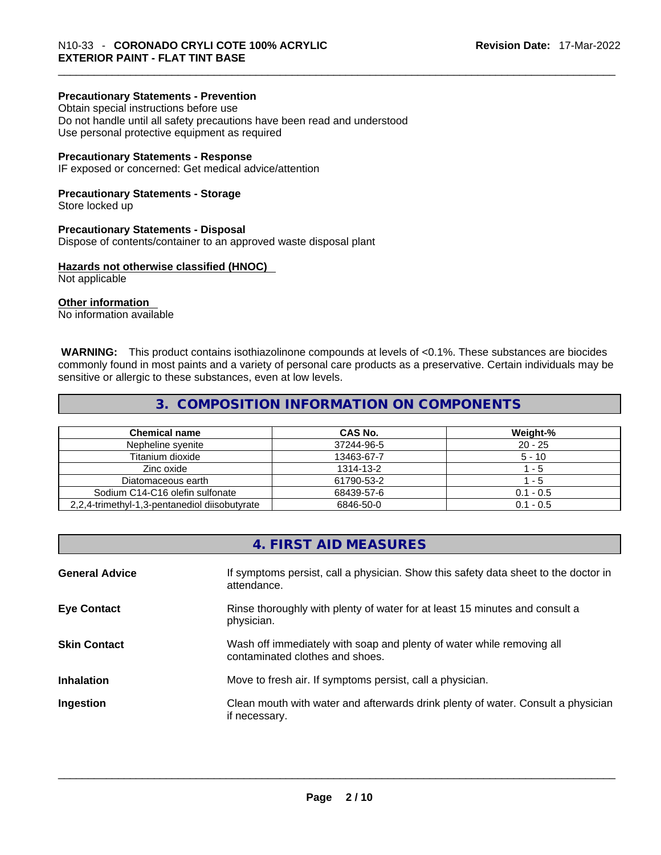#### **Precautionary Statements - Prevention**

Obtain special instructions before use Do not handle until all safety precautions have been read and understood Use personal protective equipment as required

#### **Precautionary Statements - Response**

IF exposed or concerned: Get medical advice/attention

#### **Precautionary Statements - Storage**

Store locked up

#### **Precautionary Statements - Disposal**

Dispose of contents/container to an approved waste disposal plant

#### **Hazards not otherwise classified (HNOC)**

Not applicable

#### **Other information**

No information available

 **WARNING:** This product contains isothiazolinone compounds at levels of <0.1%. These substances are biocides commonly found in most paints and a variety of personal care products as a preservative. Certain individuals may be sensitive or allergic to these substances, even at low levels.

## **3. COMPOSITION INFORMATION ON COMPONENTS**

| <b>Chemical name</b>                          | CAS No.    | Weight-%    |
|-----------------------------------------------|------------|-------------|
| Nepheline svenite                             | 37244-96-5 | $20 - 25$   |
| Titanium dioxide                              | 13463-67-7 | $5 - 10$    |
| Zinc oxide                                    | 1314-13-2  | - 5         |
| Diatomaceous earth                            | 61790-53-2 | - 5         |
| Sodium C14-C16 olefin sulfonate               | 68439-57-6 | $0.1 - 0.5$ |
| 2.2.4-trimethyl-1.3-pentanediol diisobutyrate | 6846-50-0  | $0.1 - 0.5$ |

## **4. FIRST AID MEASURES**

| <b>General Advice</b> | If symptoms persist, call a physician. Show this safety data sheet to the doctor in<br>attendance.       |
|-----------------------|----------------------------------------------------------------------------------------------------------|
| <b>Eye Contact</b>    | Rinse thoroughly with plenty of water for at least 15 minutes and consult a<br>physician.                |
| <b>Skin Contact</b>   | Wash off immediately with soap and plenty of water while removing all<br>contaminated clothes and shoes. |
| <b>Inhalation</b>     | Move to fresh air. If symptoms persist, call a physician.                                                |
| Ingestion             | Clean mouth with water and afterwards drink plenty of water. Consult a physician<br>if necessary.        |
|                       |                                                                                                          |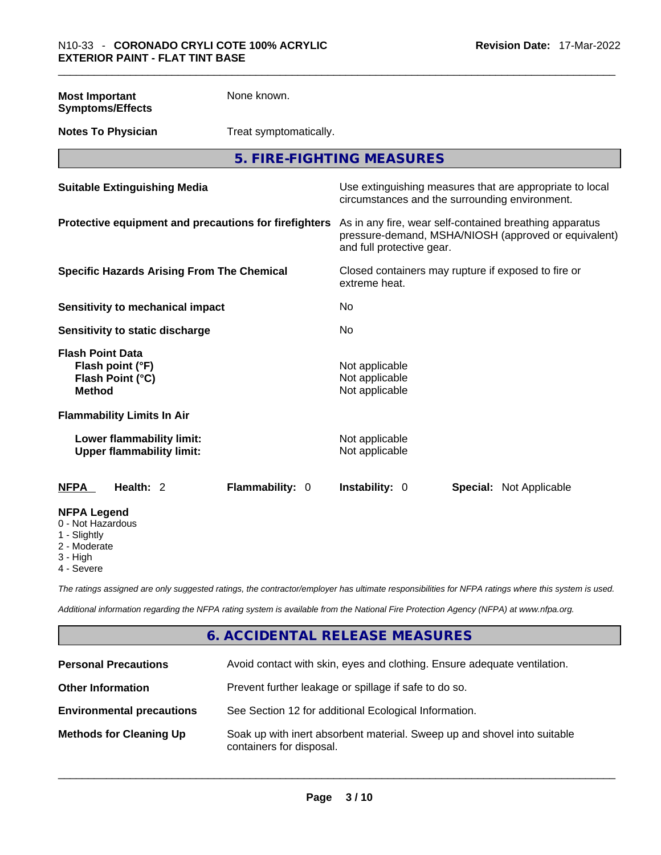**Most Important Symptoms/Effects**  None known.

**Notes To Physician** Treat symptomatically.

**5. FIRE-FIGHTING MEASURES** 

| <b>Suitable Extinguishing Media</b>                                              | Use extinguishing measures that are appropriate to local<br>circumstances and the surrounding environment.                                   |  |
|----------------------------------------------------------------------------------|----------------------------------------------------------------------------------------------------------------------------------------------|--|
| Protective equipment and precautions for firefighters                            | As in any fire, wear self-contained breathing apparatus<br>pressure-demand, MSHA/NIOSH (approved or equivalent)<br>and full protective gear. |  |
| <b>Specific Hazards Arising From The Chemical</b>                                | Closed containers may rupture if exposed to fire or<br>extreme heat.                                                                         |  |
| Sensitivity to mechanical impact                                                 | No.                                                                                                                                          |  |
| Sensitivity to static discharge                                                  | No.                                                                                                                                          |  |
| <b>Flash Point Data</b><br>Flash point (°F)<br>Flash Point (°C)<br><b>Method</b> | Not applicable<br>Not applicable<br>Not applicable                                                                                           |  |
| <b>Flammability Limits In Air</b>                                                |                                                                                                                                              |  |
| Lower flammability limit:<br><b>Upper flammability limit:</b>                    | Not applicable<br>Not applicable                                                                                                             |  |
| Health: 2<br><b>NFPA</b><br>Flammability: 0                                      | Instability: 0<br><b>Special: Not Applicable</b>                                                                                             |  |
| <b>NFPA Legend</b><br>0 - Not Hazardous<br>1 - Slightly                          |                                                                                                                                              |  |

2 - Moderate

3 - High

4 - Severe

*The ratings assigned are only suggested ratings, the contractor/employer has ultimate responsibilities for NFPA ratings where this system is used.* 

*Additional information regarding the NFPA rating system is available from the National Fire Protection Agency (NFPA) at www.nfpa.org.* 

## **6. ACCIDENTAL RELEASE MEASURES**

| <b>Personal Precautions</b>      | Avoid contact with skin, eyes and clothing. Ensure adequate ventilation.                             |
|----------------------------------|------------------------------------------------------------------------------------------------------|
| <b>Other Information</b>         | Prevent further leakage or spillage if safe to do so.                                                |
| <b>Environmental precautions</b> | See Section 12 for additional Ecological Information.                                                |
| <b>Methods for Cleaning Up</b>   | Soak up with inert absorbent material. Sweep up and shovel into suitable<br>containers for disposal. |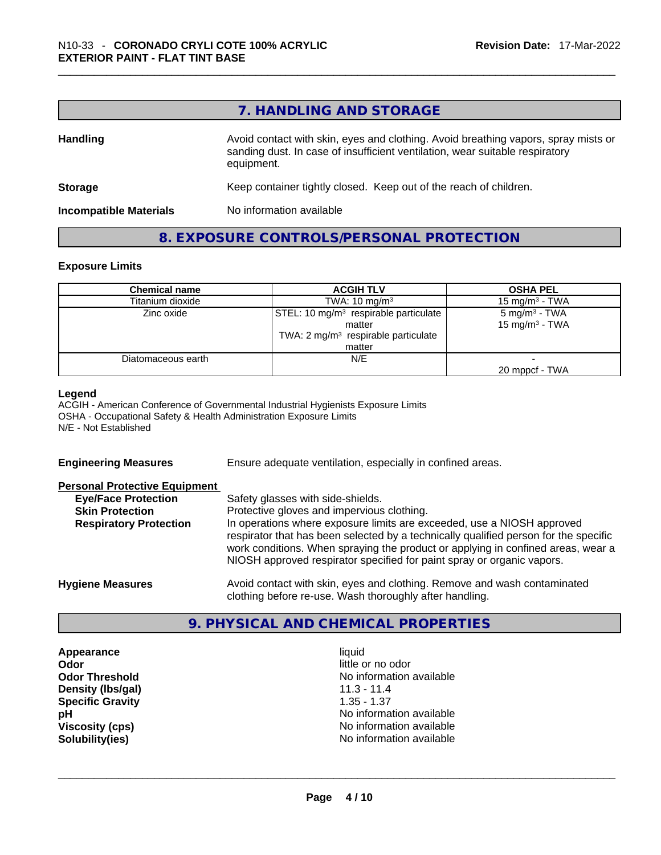## **7. HANDLING AND STORAGE**

| <b>Handling</b>               | Avoid contact with skin, eyes and clothing. Avoid breathing vapors, spray mists or<br>sanding dust. In case of insufficient ventilation, wear suitable respiratory<br>equipment. |  |
|-------------------------------|----------------------------------------------------------------------------------------------------------------------------------------------------------------------------------|--|
| <b>Storage</b>                | Keep container tightly closed. Keep out of the reach of children.                                                                                                                |  |
| <b>Incompatible Materials</b> | No information available                                                                                                                                                         |  |

#### **8. EXPOSURE CONTROLS/PERSONAL PROTECTION**

#### **Exposure Limits**

| <b>Chemical name</b> | <b>ACGIH TLV</b>                                  | <b>OSHA PEL</b>            |
|----------------------|---------------------------------------------------|----------------------------|
| Titanium dioxide     | TWA: $10 \text{ mg/m}^3$                          | 15 mg/m $3$ - TWA          |
| Zinc oxide           | STEL: 10 mg/m <sup>3</sup> respirable particulate | $5 \text{ mg/m}^3$ - TWA   |
|                      | matter                                            | 15 mg/m <sup>3</sup> - TWA |
|                      | TWA: $2 \text{ mg/m}^3$ respirable particulate    |                            |
|                      | matter                                            |                            |
| Diatomaceous earth   | N/E                                               |                            |
|                      |                                                   | 20 mppcf - TWA             |

#### **Legend**

ACGIH - American Conference of Governmental Industrial Hygienists Exposure Limits OSHA - Occupational Safety & Health Administration Exposure Limits N/E - Not Established

| <b>Engineering Measures</b>          | Ensure adequate ventilation, especially in confined areas.                                                                                                                                                                                                                                                                   |
|--------------------------------------|------------------------------------------------------------------------------------------------------------------------------------------------------------------------------------------------------------------------------------------------------------------------------------------------------------------------------|
| <b>Personal Protective Equipment</b> |                                                                                                                                                                                                                                                                                                                              |
| <b>Eye/Face Protection</b>           | Safety glasses with side-shields.                                                                                                                                                                                                                                                                                            |
| <b>Skin Protection</b>               | Protective gloves and impervious clothing.                                                                                                                                                                                                                                                                                   |
| <b>Respiratory Protection</b>        | In operations where exposure limits are exceeded, use a NIOSH approved<br>respirator that has been selected by a technically qualified person for the specific<br>work conditions. When spraying the product or applying in confined areas, wear a<br>NIOSH approved respirator specified for paint spray or organic vapors. |
| <b>Hygiene Measures</b>              | Avoid contact with skin, eyes and clothing. Remove and wash contaminated<br>clothing before re-use. Wash thoroughly after handling.                                                                                                                                                                                          |

## **9. PHYSICAL AND CHEMICAL PROPERTIES**

**Appearance** liquid **Odor Odor Odor Odor Odor Odor** *little or no odor little or no odor little or no odor* **Density (Ibs/gal)** 11.3 - 11.4<br> **Specific Gravity** 1.35 - 1.37 **Specific Gravity** 

**Odor Threshold**<br> **Density (Ibs/gal)**<br> **Density (Ibs/gal)**<br> **Compared Alternation available**<br> **Density (Ibs/gal) pH pH No** information available **Viscosity (cps) Viscosity (cps) No information available Solubility(ies)** No information available \_\_\_\_\_\_\_\_\_\_\_\_\_\_\_\_\_\_\_\_\_\_\_\_\_\_\_\_\_\_\_\_\_\_\_\_\_\_\_\_\_\_\_\_\_\_\_\_\_\_\_\_\_\_\_\_\_\_\_\_\_\_\_\_\_\_\_\_\_\_\_\_\_\_\_\_\_\_\_\_\_\_\_\_\_\_\_\_\_\_\_\_\_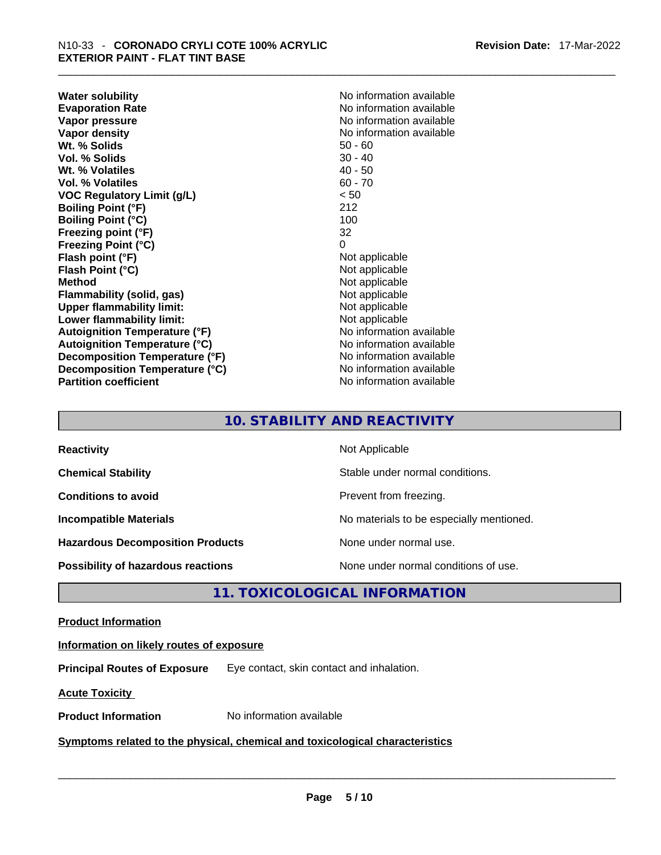**Water solubility Water solubility No information available Evaporation Rate Note 2008 No information available Note 2008 No information available Vapor pressure**  No information available **Vapor pressure No information available Vapor density No information available No information available Wt. % Solids** 50 - 60 **Vol. % Solids** 30 - 40<br> **Wt. % Volatiles** 40 - 50 Wt. % Volatiles **Vol. % Volatiles** 60 - 70 **VOC Regulatory Limit (g/L)** < 50 **Boiling Point (°F)** 212 **Boiling Point (°C)** 100<br> **Preezing point (°F)** 22 **Freezing point (°F) Freezing Point (°C)** 0 **Flash point (°F)** Not applicable **Flash Point (°C)** Not applicable **Method Not applicable Not applicable Flammability (solid, gas)** Not applicable **Upper flammability limit:** Not applicable **Lower flammability limit:** Not applicable **Autoignition Temperature (°F)** No information available **Autoignition Temperature (°C)** No information available **Decomposition Temperature (°F)** No information available **Decomposition Temperature (°C)** No information available **Partition coefficient** No information available

## **10. STABILITY AND REACTIVITY**

| <b>Reactivity</b>                         | Not Applicable                           |
|-------------------------------------------|------------------------------------------|
| <b>Chemical Stability</b>                 | Stable under normal conditions.          |
| <b>Conditions to avoid</b>                | Prevent from freezing.                   |
| <b>Incompatible Materials</b>             | No materials to be especially mentioned. |
| <b>Hazardous Decomposition Products</b>   | None under normal use.                   |
| <b>Possibility of hazardous reactions</b> | None under normal conditions of use.     |

## **11. TOXICOLOGICAL INFORMATION**

#### **Product Information**

#### **Information on likely routes of exposure**

**Principal Routes of Exposure** Eye contact, skin contact and inhalation.

**Acute Toxicity** 

## **Product Information** No information available \_\_\_\_\_\_\_\_\_\_\_\_\_\_\_\_\_\_\_\_\_\_\_\_\_\_\_\_\_\_\_\_\_\_\_\_\_\_\_\_\_\_\_\_\_\_\_\_\_\_\_\_\_\_\_\_\_\_\_\_\_\_\_\_\_\_\_\_\_\_\_\_\_\_\_\_\_\_\_\_\_\_\_\_\_\_\_\_\_\_\_\_\_ **Symptoms related** to the physical, chemical and toxicological characteristics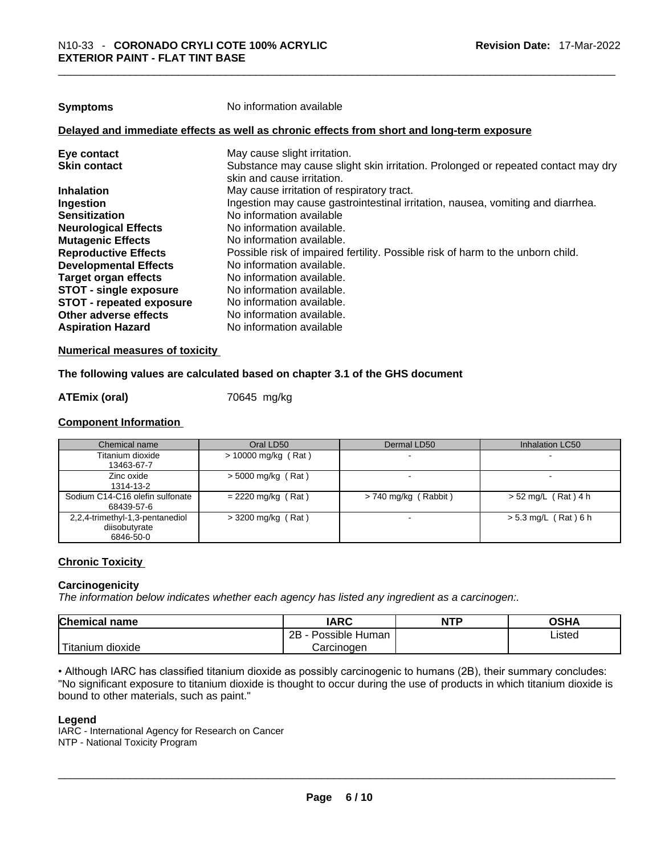**Symptoms** No information available

#### **Delayed and immediate effects as well as chronic effects from short and long-term exposure**

| Eye contact                     | May cause slight irritation.                                                      |
|---------------------------------|-----------------------------------------------------------------------------------|
| <b>Skin contact</b>             | Substance may cause slight skin irritation. Prolonged or repeated contact may dry |
|                                 | skin and cause irritation.                                                        |
| <b>Inhalation</b>               | May cause irritation of respiratory tract.                                        |
| Ingestion                       | Ingestion may cause gastrointestinal irritation, nausea, vomiting and diarrhea.   |
| <b>Sensitization</b>            | No information available                                                          |
| <b>Neurological Effects</b>     | No information available.                                                         |
| <b>Mutagenic Effects</b>        | No information available.                                                         |
| <b>Reproductive Effects</b>     | Possible risk of impaired fertility. Possible risk of harm to the unborn child.   |
| <b>Developmental Effects</b>    | No information available.                                                         |
| Target organ effects            | No information available.                                                         |
| <b>STOT - single exposure</b>   | No information available.                                                         |
| <b>STOT - repeated exposure</b> | No information available.                                                         |
| Other adverse effects           | No information available.                                                         |
| <b>Aspiration Hazard</b>        | No information available                                                          |
|                                 |                                                                                   |

#### **Numerical measures of toxicity**

#### **The following values are calculated based on chapter 3.1 of the GHS document**

#### **ATEmix (oral)** 70645 mg/kg

#### **Component Information**

| Chemical name                                                 | Oral LD50             | Dermal LD50            | Inhalation LC50        |
|---------------------------------------------------------------|-----------------------|------------------------|------------------------|
| Titanium dioxide<br>13463-67-7                                | $> 10000$ mg/kg (Rat) |                        | -                      |
| Zinc oxide<br>1314-13-2                                       | $>$ 5000 mg/kg (Rat)  |                        | -                      |
| Sodium C14-C16 olefin sulfonate<br>68439-57-6                 | $= 2220$ mg/kg (Rat)  | $> 740$ mg/kg (Rabbit) | $> 52$ mg/L (Rat) 4 h  |
| 2,2,4-trimethyl-1,3-pentanediol<br>diisobutvrate<br>6846-50-0 | $>$ 3200 mg/kg (Rat)  |                        | $> 5.3$ mg/L (Rat) 6 h |

#### **Chronic Toxicity**

#### **Carcinogenicity**

*The information below indicates whether each agency has listed any ingredient as a carcinogen:.* 

| <b>Chemical name</b>     | <b>IARC</b>          | <b>NTP</b> | OSHA   |
|--------------------------|----------------------|------------|--------|
|                          | 2B<br>Possible Human |            | ∟isted |
| ÷.<br>dioxide<br>itanium | Carcinogen           |            |        |

• Although IARC has classified titanium dioxide as possibly carcinogenic to humans (2B), their summary concludes: "No significant exposure to titanium dioxide is thought to occur during the use of products in which titanium dioxide is bound to other materials, such as paint." \_\_\_\_\_\_\_\_\_\_\_\_\_\_\_\_\_\_\_\_\_\_\_\_\_\_\_\_\_\_\_\_\_\_\_\_\_\_\_\_\_\_\_\_\_\_\_\_\_\_\_\_\_\_\_\_\_\_\_\_\_\_\_\_\_\_\_\_\_\_\_\_\_\_\_\_\_\_\_\_\_\_\_\_\_\_\_\_\_\_\_\_\_

#### **Legend**

IARC - International Agency for Research on Cancer NTP - National Toxicity Program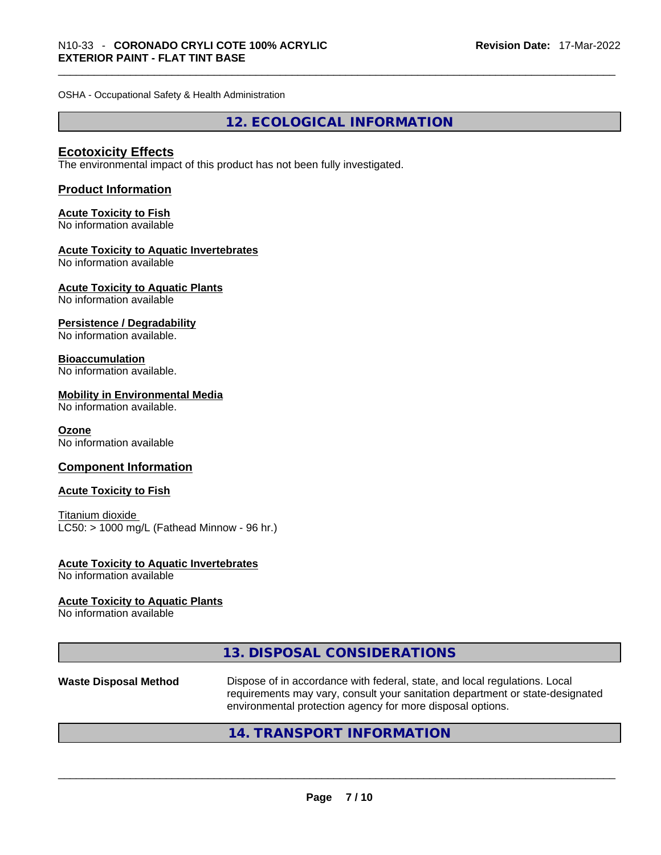OSHA - Occupational Safety & Health Administration

**12. ECOLOGICAL INFORMATION** 

#### **Ecotoxicity Effects**

The environmental impact of this product has not been fully investigated.

#### **Product Information**

## **Acute Toxicity to Fish**

No information available

#### **Acute Toxicity to Aquatic Invertebrates**

No information available

## **Acute Toxicity to Aquatic Plants**

No information available

#### **Persistence / Degradability**

No information available.

#### **Bioaccumulation**

No information available.

#### **Mobility in Environmental Media**

No information available.

#### **Ozone**

No information available

#### **Component Information**

#### **Acute Toxicity to Fish**

Titanium dioxide  $LC50:$  > 1000 mg/L (Fathead Minnow - 96 hr.)

## **Acute Toxicity to Aquatic Invertebrates**

No information available

#### **Acute Toxicity to Aquatic Plants**

No information available

| 13. DISPOSAL CONSIDERATIONS |  |
|-----------------------------|--|
|-----------------------------|--|

# **Waste Disposal Method** Dispose of in accordance with federal, state, and local regulations. Local requirements may vary, consult your sanitation department or state-designated environmental protection agency for more disposal options.<br> $14. \text{ TRANSPORT INFORMATION}$

## **14. TRANSPORT INFORMATION**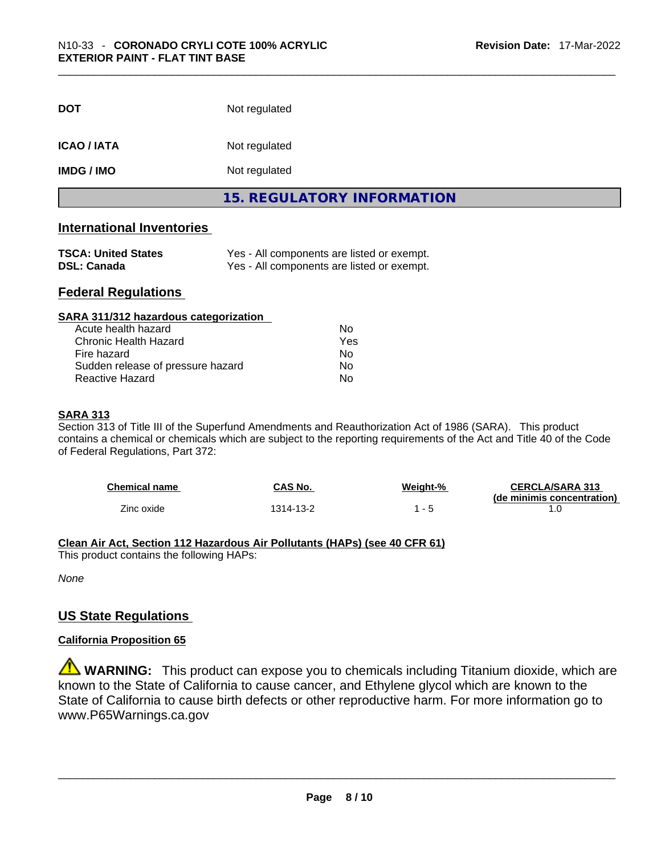| <b>DOT</b>       | Not regulated              |
|------------------|----------------------------|
| <b>ICAO/IATA</b> | Not regulated              |
| <b>IMDG/IMO</b>  | Not regulated              |
|                  | 15. REGULATORY INFORMATION |

#### **International Inventories**

| <b>TSCA: United States</b> | Yes - All components are listed or exempt. |
|----------------------------|--------------------------------------------|
| <b>DSL: Canada</b>         | Yes - All components are listed or exempt. |

#### **Federal Regulations**

| SARA 311/312 hazardous categorization |                |  |
|---------------------------------------|----------------|--|
| Acute health hazard                   | Nο             |  |
| <b>Chronic Health Hazard</b>          | Yes            |  |
| Fire hazard                           | N <sub>0</sub> |  |
| Sudden release of pressure hazard     | Nο             |  |
| Reactive Hazard                       | No             |  |

#### **SARA 313**

Section 313 of Title III of the Superfund Amendments and Reauthorization Act of 1986 (SARA). This product contains a chemical or chemicals which are subject to the reporting requirements of the Act and Title 40 of the Code of Federal Regulations, Part 372:

| <b>Chemical name</b> | CAS No.   | Weiaht-% | <b>CERCLA/SARA 313</b>     |
|----------------------|-----------|----------|----------------------------|
|                      |           |          | (de minimis concentration) |
| Zinc oxide           | 1314-13-2 |          |                            |

#### **Clean Air Act,Section 112 Hazardous Air Pollutants (HAPs) (see 40 CFR 61)**

This product contains the following HAPs:

*None*

#### **US State Regulations**

#### **California Proposition 65**

**WARNING:** This product can expose you to chemicals including Titanium dioxide, which are known to the State of California to cause cancer, and Ethylene glycol which are known to the State of California to cause birth defects or other reproductive harm. For more information go to www.P65Warnings.ca.gov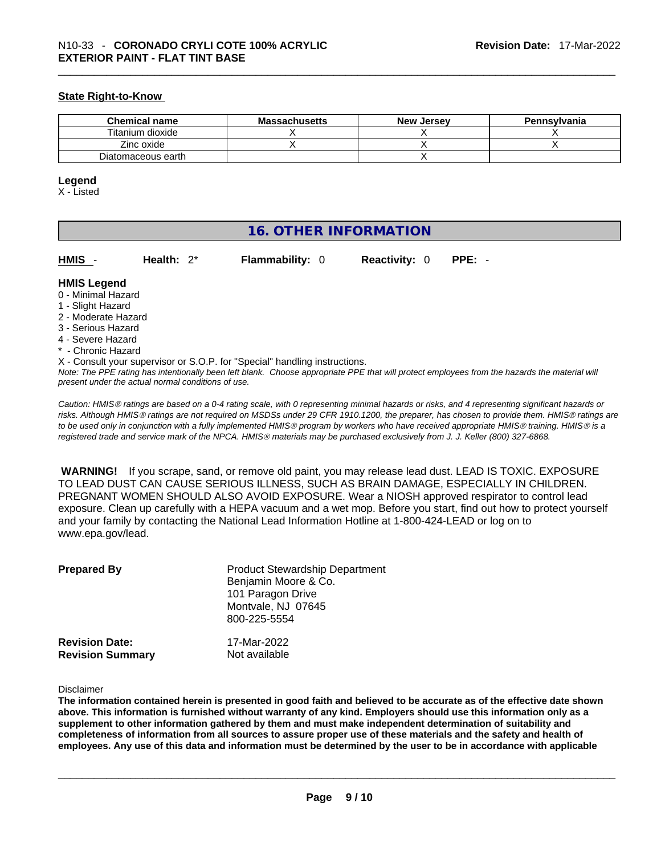#### **State Right-to-Know**

| <b>Chemical name</b> | <b>Massachusetts</b> | <b>New Jersey</b> | <b>Pennsylvania</b> |
|----------------------|----------------------|-------------------|---------------------|
| Titanium dioxide     |                      |                   |                     |
| Zinc oxide           |                      |                   |                     |
| Diatomaceous earth   |                      |                   |                     |

#### **Legend**

X - Listed

### **16. OTHER INFORMATION**

**HMIS** - **Health:** 2\* **Flammability:** 0 **Reactivity:** 0 **PPE:** -

#### **HMIS Legend**

- 0 Minimal Hazard
- 1 Slight Hazard
- 2 Moderate Hazard
- 3 Serious Hazard
- 4 Severe Hazard
- \* Chronic Hazard
- X Consult your supervisor or S.O.P. for "Special" handling instructions.

Note: The PPE rating has intentionally been left blank. Choose appropriate PPE that will protect employees from the hazards the material will *present under the actual normal conditions of use.* 

*Caution: HMISÒ ratings are based on a 0-4 rating scale, with 0 representing minimal hazards or risks, and 4 representing significant hazards or risks. Although HMISÒ ratings are not required on MSDSs under 29 CFR 1910.1200, the preparer, has chosen to provide them. HMISÒ ratings are to be used only in conjunction with a fully implemented HMISÒ program by workers who have received appropriate HMISÒ training. HMISÒ is a registered trade and service mark of the NPCA. HMISÒ materials may be purchased exclusively from J. J. Keller (800) 327-6868.* 

 **WARNING!** If you scrape, sand, or remove old paint, you may release lead dust. LEAD IS TOXIC. EXPOSURE TO LEAD DUST CAN CAUSE SERIOUS ILLNESS, SUCH AS BRAIN DAMAGE, ESPECIALLY IN CHILDREN. PREGNANT WOMEN SHOULD ALSO AVOID EXPOSURE.Wear a NIOSH approved respirator to control lead exposure. Clean up carefully with a HEPA vacuum and a wet mop. Before you start, find out how to protect yourself and your family by contacting the National Lead Information Hotline at 1-800-424-LEAD or log on to www.epa.gov/lead.

| <b>Prepared By</b>      | <b>Product Stewardship Department</b><br>Benjamin Moore & Co.<br>101 Paragon Drive<br>Montvale, NJ 07645<br>800-225-5554 |
|-------------------------|--------------------------------------------------------------------------------------------------------------------------|
| <b>Revision Date:</b>   | 17-Mar-2022                                                                                                              |
| <b>Revision Summary</b> | Not available                                                                                                            |

#### Disclaimer

The information contained herein is presented in good faith and believed to be accurate as of the effective date shown above. This information is furnished without warranty of any kind. Employers should use this information only as a **supplement to other information gathered by them and must make independent determination of suitability and** completeness of information from all sources to assure proper use of these materials and the safety and health of employees. Any use of this data and information must be determined by the user to be in accordance with applicable